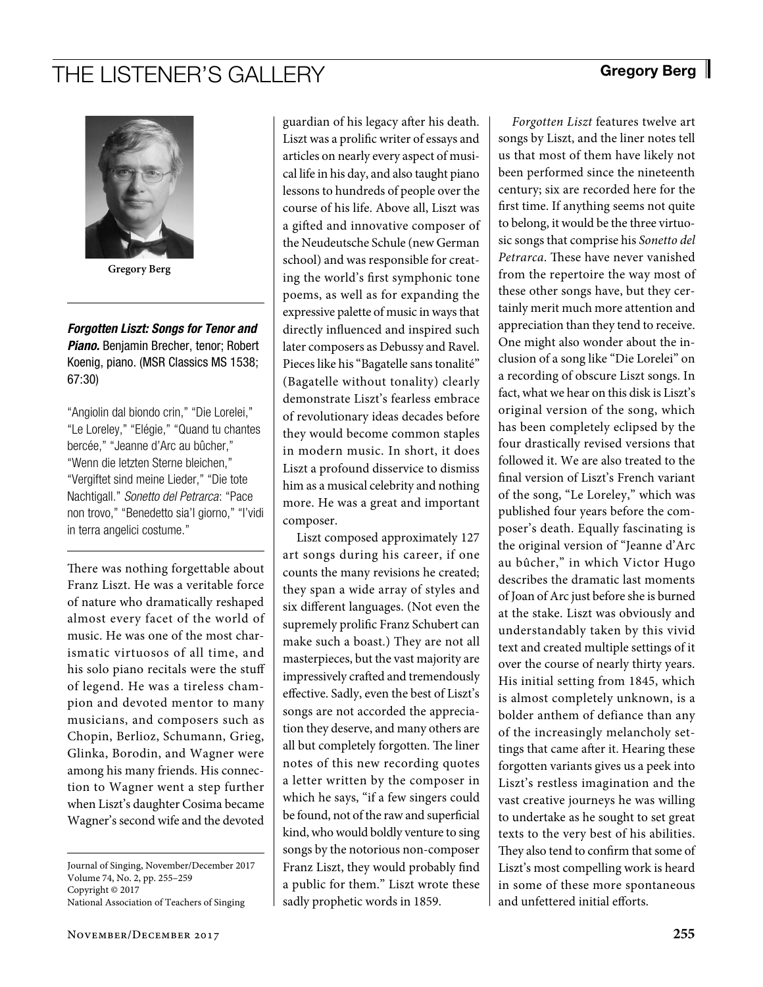## THE LISTENER'S GALLERY Gregory Berg



**Gregory Berg**

*Forgotten Liszt: Songs for Tenor and Piano.* Benjamin Brecher, tenor; Robert Koenig, piano. (MSR Classics MS 1538; 67:30)

"Angiolin dal biondo crin," "Die Lorelei," "Le Loreley," "Elégie," "Quand tu chantes bercée," "Jeanne d'Arc au bûcher," "Wenn die letzten Sterne bleichen," "Vergiftet sind meine Lieder," "Die tote Nachtigall." *Sonetto del Petrarca*: "Pace non trovo," "Benedetto sia'l giorno," "I'vidi in terra angelici costume."

There was nothing forgettable about Franz Liszt. He was a veritable force of nature who dramatically reshaped almost every facet of the world of music. He was one of the most charismatic virtuosos of all time, and his solo piano recitals were the stuff of legend. He was a tireless champion and devoted mentor to many musicians, and composers such as Chopin, Berlioz, Schumann, Grieg, Glinka, Borodin, and Wagner were among his many friends. His connection to Wagner went a step further when Liszt's daughter Cosima became Wagner's second wife and the devoted

Journal of Singing, November/December 2017 Volume 74, No. 2, pp. 255–259 Copyright © 2017 National Association of Teachers of Singing

guardian of his legacy after his death. Liszt was a prolific writer of essays and articles on nearly every aspect of musical life in his day, and also taught piano lessons to hundreds of people over the course of his life. Above all, Liszt was a gifted and innovative composer of the Neudeutsche Schule (new German school) and was responsible for creating the world's first symphonic tone poems, as well as for expanding the expressive palette of music in ways that directly influenced and inspired such later composers as Debussy and Ravel. Pieces like his "Bagatelle sans tonalité" (Bagatelle without tonality) clearly demonstrate Liszt's fearless embrace of revolutionary ideas decades before they would become common staples in modern music. In short, it does Liszt a profound disservice to dismiss him as a musical celebrity and nothing more. He was a great and important composer.

Liszt composed approximately 127 art songs during his career, if one counts the many revisions he created; they span a wide array of styles and six different languages. (Not even the supremely prolific Franz Schubert can make such a boast.) They are not all masterpieces, but the vast majority are impressively crafted and tremendously effective. Sadly, even the best of Liszt's songs are not accorded the appreciation they deserve, and many others are all but completely forgotten. The liner notes of this new recording quotes a letter written by the composer in which he says, "if a few singers could be found, not of the raw and superficial kind, who would boldly venture to sing songs by the notorious non-composer Franz Liszt, they would probably find a public for them." Liszt wrote these sadly prophetic words in 1859.

*Forgotten Liszt* features twelve art songs by Liszt, and the liner notes tell us that most of them have likely not been performed since the nineteenth century; six are recorded here for the first time. If anything seems not quite to belong, it would be the three virtuosic songs that comprise his *Sonetto del Petrarca*. These have never vanished from the repertoire the way most of these other songs have, but they certainly merit much more attention and appreciation than they tend to receive. One might also wonder about the inclusion of a song like "Die Lorelei" on a recording of obscure Liszt songs. In fact, what we hear on this disk is Liszt's original version of the song, which has been completely eclipsed by the four drastically revised versions that followed it. We are also treated to the final version of Liszt's French variant of the song, "Le Loreley," which was published four years before the composer's death. Equally fascinating is the original version of "Jeanne d'Arc au bûcher," in which Victor Hugo describes the dramatic last moments of Joan of Arc just before she is burned at the stake. Liszt was obviously and understandably taken by this vivid text and created multiple settings of it over the course of nearly thirty years. His initial setting from 1845, which is almost completely unknown, is a bolder anthem of defiance than any of the increasingly melancholy settings that came after it. Hearing these forgotten variants gives us a peek into Liszt's restless imagination and the vast creative journeys he was willing to undertake as he sought to set great texts to the very best of his abilities. They also tend to confirm that some of Liszt's most compelling work is heard in some of these more spontaneous and unfettered initial efforts.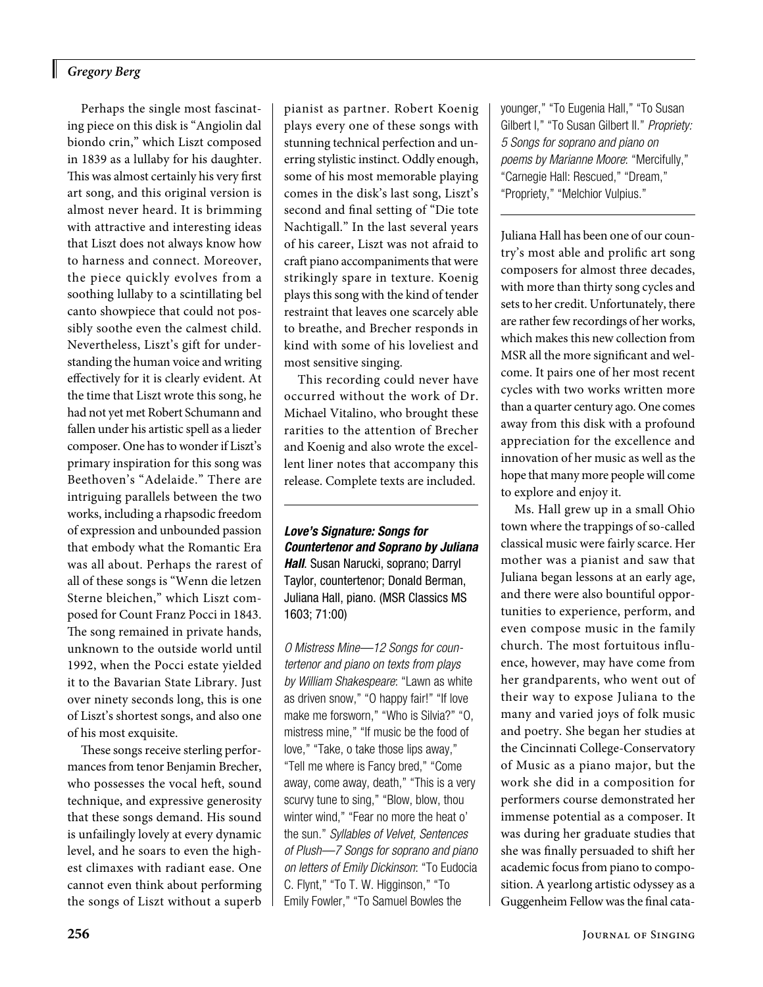### *Gregory Berg*

Perhaps the single most fascinating piece on this disk is "Angiolin dal biondo crin," which Liszt composed in 1839 as a lullaby for his daughter. This was almost certainly his very first art song, and this original version is almost never heard. It is brimming with attractive and interesting ideas that Liszt does not always know how to harness and connect. Moreover, the piece quickly evolves from a soothing lullaby to a scintillating bel canto showpiece that could not possibly soothe even the calmest child. Nevertheless, Liszt's gift for understanding the human voice and writing effectively for it is clearly evident. At the time that Liszt wrote this song, he had not yet met Robert Schumann and fallen under his artistic spell as a lieder composer. One has to wonder if Liszt's primary inspiration for this song was Beethoven's "Adelaide." There are intriguing parallels between the two works, including a rhapsodic freedom of expression and unbounded passion that embody what the Romantic Era was all about. Perhaps the rarest of all of these songs is "Wenn die letzen Sterne bleichen," which Liszt composed for Count Franz Pocci in 1843. The song remained in private hands, unknown to the outside world until 1992, when the Pocci estate yielded it to the Bavarian State Library. Just over ninety seconds long, this is one of Liszt's shortest songs, and also one of his most exquisite.

These songs receive sterling performances from tenor Benjamin Brecher, who possesses the vocal heft, sound technique, and expressive generosity that these songs demand. His sound is unfailingly lovely at every dynamic level, and he soars to even the highest climaxes with radiant ease. One cannot even think about performing the songs of Liszt without a superb pianist as partner. Robert Koenig plays every one of these songs with stunning technical perfection and unerring stylistic instinct. Oddly enough, some of his most memorable playing comes in the disk's last song, Liszt's second and final setting of "Die tote Nachtigall." In the last several years of his career, Liszt was not afraid to craft piano accompaniments that were strikingly spare in texture. Koenig plays this song with the kind of tender restraint that leaves one scarcely able to breathe, and Brecher responds in kind with some of his loveliest and most sensitive singing.

This recording could never have occurred without the work of Dr. Michael Vitalino, who brought these rarities to the attention of Brecher and Koenig and also wrote the excellent liner notes that accompany this release. Complete texts are included.

*Love's Signature: Songs for Countertenor and Soprano by Juliana Hall*. Susan Narucki, soprano; Darryl Taylor, countertenor; Donald Berman, Juliana Hall, piano. (MSR Classics MS 1603; 71:00)

*O Mistress Mine—12 Songs for countertenor and piano on texts from plays by William Shakespeare*: "Lawn as white as driven snow," "O happy fair!" "If love make me forsworn," "Who is Silvia?" "O, mistress mine," "If music be the food of love," "Take, o take those lips away," "Tell me where is Fancy bred," "Come away, come away, death," "This is a very scurvy tune to sing," "Blow, blow, thou winter wind," "Fear no more the heat o' the sun." *Syllables of Velvet, Sentences of Plush—7 Songs for soprano and piano on letters of Emily Dickinson*: "To Eudocia C. Flynt," "To T. W. Higginson," "To Emily Fowler," "To Samuel Bowles the

younger," "To Eugenia Hall," "To Susan Gilbert I," "To Susan Gilbert II." *Propriety: 5 Songs for soprano and piano on poems by Marianne Moore*: "Mercifully," "Carnegie Hall: Rescued," "Dream," "Propriety," "Melchior Vulpius."

Juliana Hall has been one of our country's most able and prolific art song composers for almost three decades, with more than thirty song cycles and sets to her credit. Unfortunately, there are rather few recordings of her works, which makes this new collection from MSR all the more significant and welcome. It pairs one of her most recent cycles with two works written more than a quarter century ago. One comes away from this disk with a profound appreciation for the excellence and innovation of her music as well as the hope that many more people will come to explore and enjoy it.

Ms. Hall grew up in a small Ohio town where the trappings of so-called classical music were fairly scarce. Her mother was a pianist and saw that Juliana began lessons at an early age, and there were also bountiful opportunities to experience, perform, and even compose music in the family church. The most fortuitous influence, however, may have come from her grandparents, who went out of their way to expose Juliana to the many and varied joys of folk music and poetry. She began her studies at the Cincinnati College-Conservatory of Music as a piano major, but the work she did in a composition for performers course demonstrated her immense potential as a composer. It was during her graduate studies that she was finally persuaded to shift her academic focus from piano to composition. A yearlong artistic odyssey as a Guggenheim Fellow was the final cata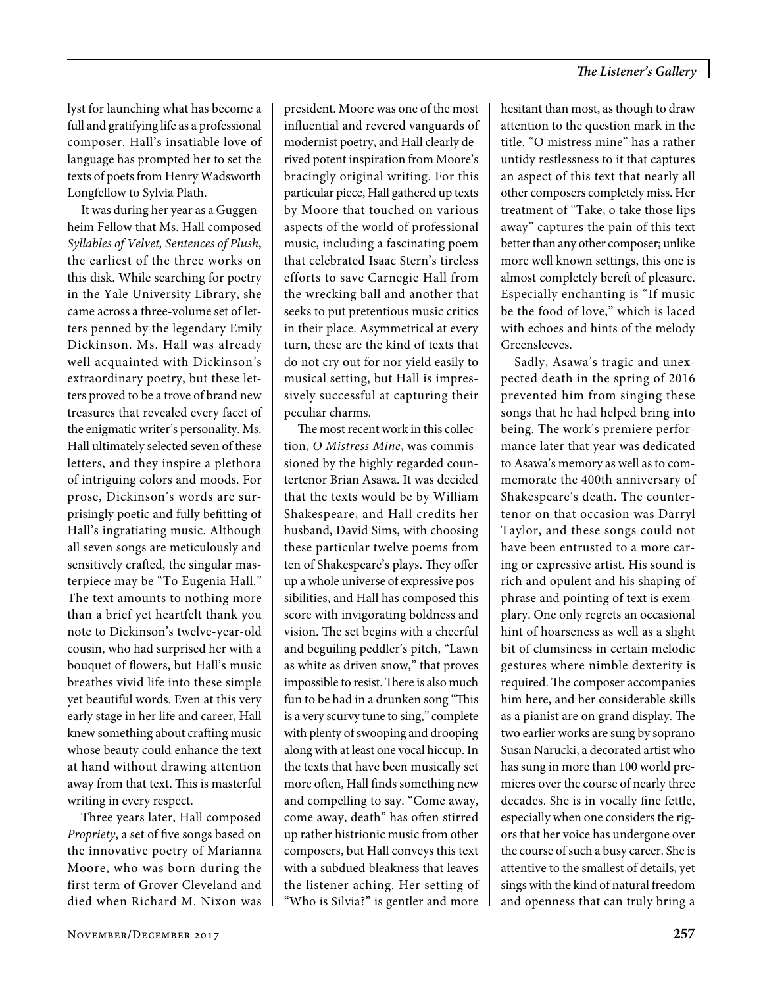lyst for launching what has become a full and gratifying life as a professional composer. Hall's insatiable love of language has prompted her to set the texts of poets from Henry Wadsworth Longfellow to Sylvia Plath.

It was during her year as a Guggenheim Fellow that Ms. Hall composed *Syllables of Velvet, Sentences of Plush*, the earliest of the three works on this disk. While searching for poetry in the Yale University Library, she came across a three-volume set of letters penned by the legendary Emily Dickinson. Ms. Hall was already well acquainted with Dickinson's extraordinary poetry, but these letters proved to be a trove of brand new treasures that revealed every facet of the enigmatic writer's personality. Ms. Hall ultimately selected seven of these letters, and they inspire a plethora of intriguing colors and moods. For prose, Dickinson's words are surprisingly poetic and fully befitting of Hall's ingratiating music. Although all seven songs are meticulously and sensitively crafted, the singular masterpiece may be "To Eugenia Hall." The text amounts to nothing more than a brief yet heartfelt thank you note to Dickinson's twelve-year-old cousin, who had surprised her with a bouquet of flowers, but Hall's music breathes vivid life into these simple yet beautiful words. Even at this very early stage in her life and career, Hall knew something about crafting music whose beauty could enhance the text at hand without drawing attention away from that text. This is masterful writing in every respect.

Three years later, Hall composed *Propriety*, a set of five songs based on the innovative poetry of Marianna Moore, who was born during the first term of Grover Cleveland and died when Richard M. Nixon was president. Moore was one of the most influential and revered vanguards of modernist poetry, and Hall clearly derived potent inspiration from Moore's bracingly original writing. For this particular piece, Hall gathered up texts by Moore that touched on various aspects of the world of professional music, including a fascinating poem that celebrated Isaac Stern's tireless efforts to save Carnegie Hall from the wrecking ball and another that seeks to put pretentious music critics in their place. Asymmetrical at every turn, these are the kind of texts that do not cry out for nor yield easily to musical setting, but Hall is impressively successful at capturing their peculiar charms.

The most recent work in this collection, *O Mistress Mine*, was commissioned by the highly regarded countertenor Brian Asawa. It was decided that the texts would be by William Shakespeare, and Hall credits her husband, David Sims, with choosing these particular twelve poems from ten of Shakespeare's plays. They offer up a whole universe of expressive possibilities, and Hall has composed this score with invigorating boldness and vision. The set begins with a cheerful and beguiling peddler's pitch, "Lawn as white as driven snow," that proves impossible to resist. There is also much fun to be had in a drunken song "This is a very scurvy tune to sing," complete with plenty of swooping and drooping along with at least one vocal hiccup. In the texts that have been musically set more often, Hall finds something new and compelling to say. "Come away, come away, death" has often stirred up rather histrionic music from other composers, but Hall conveys this text with a subdued bleakness that leaves the listener aching. Her setting of "Who is Silvia?" is gentler and more hesitant than most, as though to draw attention to the question mark in the title. "O mistress mine" has a rather untidy restlessness to it that captures an aspect of this text that nearly all other composers completely miss. Her treatment of "Take, o take those lips away" captures the pain of this text better than any other composer; unlike more well known settings, this one is almost completely bereft of pleasure. Especially enchanting is "If music be the food of love," which is laced with echoes and hints of the melody Greensleeves.

Sadly, Asawa's tragic and unexpected death in the spring of 2016 prevented him from singing these songs that he had helped bring into being. The work's premiere performance later that year was dedicated to Asawa's memory as well as to commemorate the 400th anniversary of Shakespeare's death. The countertenor on that occasion was Darryl Taylor, and these songs could not have been entrusted to a more caring or expressive artist. His sound is rich and opulent and his shaping of phrase and pointing of text is exemplary. One only regrets an occasional hint of hoarseness as well as a slight bit of clumsiness in certain melodic gestures where nimble dexterity is required. The composer accompanies him here, and her considerable skills as a pianist are on grand display. The two earlier works are sung by soprano Susan Narucki, a decorated artist who has sung in more than 100 world premieres over the course of nearly three decades. She is in vocally fine fettle, especially when one considers the rigors that her voice has undergone over the course of such a busy career. She is attentive to the smallest of details, yet sings with the kind of natural freedom and openness that can truly bring a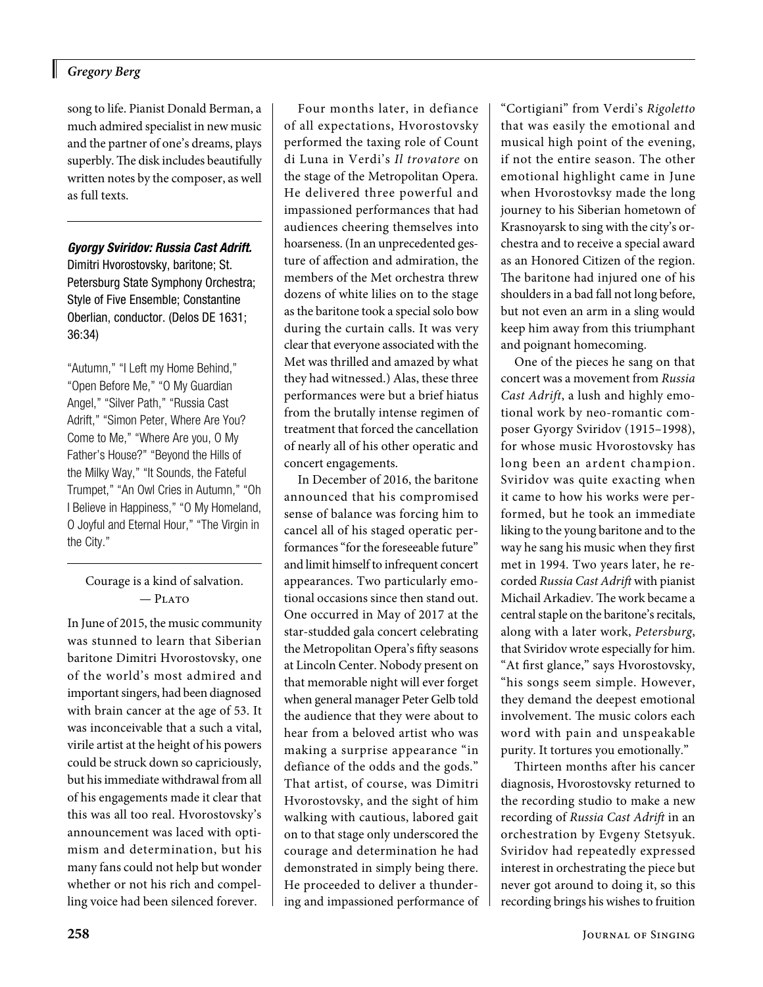#### *Gregory Berg*

song to life. Pianist Donald Berman, a much admired specialist in new music and the partner of one's dreams, plays superbly. The disk includes beautifully written notes by the composer, as well as full texts.

*Gyorgy Sviridov: Russia Cast Adrift.*

Dimitri Hvorostovsky, baritone; St. Petersburg State Symphony Orchestra; Style of Five Ensemble; Constantine Oberlian, conductor. (Delos DE 1631; 36:34)

"Autumn," "I Left my Home Behind," "Open Before Me," "O My Guardian Angel," "Silver Path," "Russia Cast Adrift," "Simon Peter, Where Are You? Come to Me," "Where Are you, O My Father's House?" "Beyond the Hills of the Milky Way," "It Sounds, the Fateful Trumpet," "An Owl Cries in Autumn," "Oh I Believe in Happiness," "O My Homeland, O Joyful and Eternal Hour," "The Virgin in the City."

Courage is a kind of salvation.  $-$  Plato

In June of 2015, the music community was stunned to learn that Siberian baritone Dimitri Hvorostovsky, one of the world's most admired and important singers, had been diagnosed with brain cancer at the age of 53. It was inconceivable that a such a vital, virile artist at the height of his powers could be struck down so capriciously, but his immediate withdrawal from all of his engagements made it clear that this was all too real. Hvorostovsky's announcement was laced with optimism and determination, but his many fans could not help but wonder whether or not his rich and compelling voice had been silenced forever.

Four months later, in defiance of all expectations, Hvorostovsky performed the taxing role of Count di Luna in Verdi's *Il trovatore* on the stage of the Metropolitan Opera. He delivered three powerful and impassioned performances that had audiences cheering themselves into hoarseness. (In an unprecedented gesture of affection and admiration, the members of the Met orchestra threw dozens of white lilies on to the stage as the baritone took a special solo bow during the curtain calls. It was very clear that everyone associated with the Met was thrilled and amazed by what they had witnessed.) Alas, these three performances were but a brief hiatus from the brutally intense regimen of treatment that forced the cancellation of nearly all of his other operatic and concert engagements.

In December of 2016, the baritone announced that his compromised sense of balance was forcing him to cancel all of his staged operatic performances "for the foreseeable future" and limit himself to infrequent concert appearances. Two particularly emotional occasions since then stand out. One occurred in May of 2017 at the star-studded gala concert celebrating the Metropolitan Opera's fifty seasons at Lincoln Center. Nobody present on that memorable night will ever forget when general manager Peter Gelb told the audience that they were about to hear from a beloved artist who was making a surprise appearance "in defiance of the odds and the gods." That artist, of course, was Dimitri Hvorostovsky, and the sight of him walking with cautious, labored gait on to that stage only underscored the courage and determination he had demonstrated in simply being there. He proceeded to deliver a thundering and impassioned performance of "Cortigiani" from Verdi's *Rigoletto* that was easily the emotional and musical high point of the evening, if not the entire season. The other emotional highlight came in June when Hvorostovksy made the long journey to his Siberian hometown of Krasnoyarsk to sing with the city's orchestra and to receive a special award as an Honored Citizen of the region. The baritone had injured one of his shoulders in a bad fall not long before, but not even an arm in a sling would keep him away from this triumphant and poignant homecoming.

One of the pieces he sang on that concert was a movement from *Russia Cast Adrift*, a lush and highly emotional work by neo-romantic composer Gyorgy Sviridov (1915–1998), for whose music Hvorostovsky has long been an ardent champion. Sviridov was quite exacting when it came to how his works were performed, but he took an immediate liking to the young baritone and to the way he sang his music when they first met in 1994. Two years later, he recorded *Russia Cast Adrift* with pianist Michail Arkadiev*.* The work became a central staple on the baritone's recitals, along with a later work, *Petersburg*, that Sviridov wrote especially for him. "At first glance," says Hvorostovsky, "his songs seem simple. However, they demand the deepest emotional involvement. The music colors each word with pain and unspeakable purity. It tortures you emotionally."

Thirteen months after his cancer diagnosis, Hvorostovsky returned to the recording studio to make a new recording of *Russia Cast Adrift* in an orchestration by Evgeny Stetsyuk. Sviridov had repeatedly expressed interest in orchestrating the piece but never got around to doing it, so this recording brings his wishes to fruition